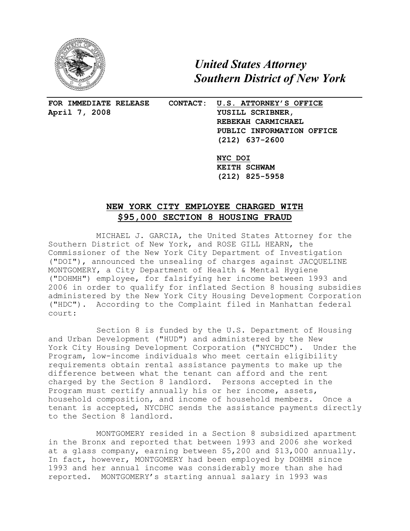

 *United States Attorney Southern District of New York*

**April 7, 2008 YUSILL SCRIBNER,** 

 $\overline{a}$ 

**FOR IMMEDIATE RELEASE CONTACT: U.S. ATTORNEY'S OFFICE REBEKAH CARMICHAEL PUBLIC INFORMATION OFFICE (212) 637-2600**

> **NYC DOI KEITH SCHWAM (212) 825-5958**

## **NEW YORK CITY EMPLOYEE CHARGED WITH \$95,000 SECTION 8 HOUSING FRAUD**

MICHAEL J. GARCIA, the United States Attorney for the Southern District of New York, and ROSE GILL HEARN, the Commissioner of the New York City Department of Investigation ("DOI"), announced the unsealing of charges against JACQUELINE MONTGOMERY, a City Department of Health & Mental Hygiene ("DOHMH") employee, for falsifying her income between 1993 and 2006 in order to qualify for inflated Section 8 housing subsidies administered by the New York City Housing Development Corporation ("HDC"). According to the Complaint filed in Manhattan federal court:

Section 8 is funded by the U.S. Department of Housing and Urban Development ("HUD") and administered by the New York City Housing Development Corporation ("NYCHDC"). Under the Program, low-income individuals who meet certain eligibility requirements obtain rental assistance payments to make up the difference between what the tenant can afford and the rent charged by the Section 8 landlord. Persons accepted in the Program must certify annually his or her income, assets, household composition, and income of household members. Once a tenant is accepted, NYCDHC sends the assistance payments directly to the Section 8 landlord.

MONTGOMERY resided in a Section 8 subsidized apartment in the Bronx and reported that between 1993 and 2006 she worked at a glass company, earning between \$5,200 and \$13,000 annually. In fact, however, MONTGOMERY had been employed by DOHMH since 1993 and her annual income was considerably more than she had reported. MONTGOMERY's starting annual salary in 1993 was